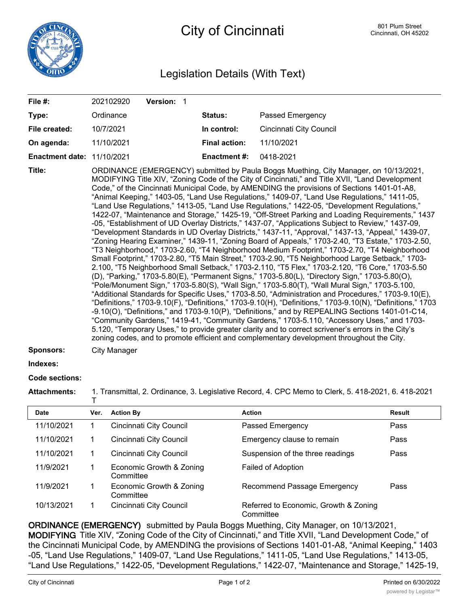

City of Cincinnati **City of Cincinnati** BO1 Plum Street

## Legislation Details (With Text)

| File #:                           | 202102920<br>Version: 1                                                                                                                                                                                                                                                                                                                                                                                                                                                                                                                                                                                                                                                                                                                                                                                                                                                                                                                                                                                                                                                                                                                                                                                                                                                                                                                                                                                                                                                                                                                                                                                                                                                                                                                                                                                                                                                                                                                                                                                                                             |                      |                         |  |  |  |
|-----------------------------------|-----------------------------------------------------------------------------------------------------------------------------------------------------------------------------------------------------------------------------------------------------------------------------------------------------------------------------------------------------------------------------------------------------------------------------------------------------------------------------------------------------------------------------------------------------------------------------------------------------------------------------------------------------------------------------------------------------------------------------------------------------------------------------------------------------------------------------------------------------------------------------------------------------------------------------------------------------------------------------------------------------------------------------------------------------------------------------------------------------------------------------------------------------------------------------------------------------------------------------------------------------------------------------------------------------------------------------------------------------------------------------------------------------------------------------------------------------------------------------------------------------------------------------------------------------------------------------------------------------------------------------------------------------------------------------------------------------------------------------------------------------------------------------------------------------------------------------------------------------------------------------------------------------------------------------------------------------------------------------------------------------------------------------------------------------|----------------------|-------------------------|--|--|--|
| Type:                             | Ordinance                                                                                                                                                                                                                                                                                                                                                                                                                                                                                                                                                                                                                                                                                                                                                                                                                                                                                                                                                                                                                                                                                                                                                                                                                                                                                                                                                                                                                                                                                                                                                                                                                                                                                                                                                                                                                                                                                                                                                                                                                                           | Status:              | <b>Passed Emergency</b> |  |  |  |
| File created:                     | 10/7/2021                                                                                                                                                                                                                                                                                                                                                                                                                                                                                                                                                                                                                                                                                                                                                                                                                                                                                                                                                                                                                                                                                                                                                                                                                                                                                                                                                                                                                                                                                                                                                                                                                                                                                                                                                                                                                                                                                                                                                                                                                                           | In control:          | Cincinnati City Council |  |  |  |
| On agenda:                        | 11/10/2021                                                                                                                                                                                                                                                                                                                                                                                                                                                                                                                                                                                                                                                                                                                                                                                                                                                                                                                                                                                                                                                                                                                                                                                                                                                                                                                                                                                                                                                                                                                                                                                                                                                                                                                                                                                                                                                                                                                                                                                                                                          | <b>Final action:</b> | 11/10/2021              |  |  |  |
| <b>Enactment date: 11/10/2021</b> |                                                                                                                                                                                                                                                                                                                                                                                                                                                                                                                                                                                                                                                                                                                                                                                                                                                                                                                                                                                                                                                                                                                                                                                                                                                                                                                                                                                                                                                                                                                                                                                                                                                                                                                                                                                                                                                                                                                                                                                                                                                     | <b>Enactment #:</b>  | 0418-2021               |  |  |  |
| Title:<br><b>Sponsors:</b>        | ORDINANCE (EMERGENCY) submitted by Paula Boggs Muething, City Manager, on 10/13/2021,<br>MODIFYING Title XIV, "Zoning Code of the City of Cincinnati," and Title XVII, "Land Development<br>Code," of the Cincinnati Municipal Code, by AMENDING the provisions of Sections 1401-01-A8,<br>"Animal Keeping," 1403-05, "Land Use Regulations," 1409-07, "Land Use Regulations," 1411-05,<br>"Land Use Regulations," 1413-05, "Land Use Regulations," 1422-05, "Development Regulations,"<br>1422-07, "Maintenance and Storage," 1425-19, "Off-Street Parking and Loading Requirements," 1437<br>-05, "Establishment of UD Overlay Districts," 1437-07, "Applications Subject to Review," 1437-09,<br>"Development Standards in UD Overlay Districts," 1437-11, "Approval," 1437-13, "Appeal," 1439-07,<br>"Zoning Hearing Examiner," 1439-11, "Zoning Board of Appeals," 1703-2.40, "T3 Estate," 1703-2.50,<br>"T3 Neighborhood," 1703-2.60, "T4 Neighborhood Medium Footprint," 1703-2.70, "T4 Neighborhood<br>Small Footprint," 1703-2.80, "T5 Main Street," 1703-2.90, "T5 Neighborhood Large Setback," 1703-<br>2.100, "T5 Neighborhood Small Setback," 1703-2.110, "T5 Flex," 1703-2.120, "T6 Core," 1703-5.50<br>(D), "Parking," 1703-5.80(E), "Permanent Signs," 1703-5.80(L), "Directory Sign," 1703-5.80(O),<br>"Pole/Monument Sign," 1703-5.80(S), "Wall Sign," 1703-5.80(T), "Wall Mural Sign," 1703-5.100,<br>"Additional Standards for Specific Uses," 1703-8.50, "Administration and Procedures," 1703-9.10(E),<br>"Definitions," 1703-9.10(F), "Definitions," 1703-9.10(H), "Definitions," 1703-9.10(N), "Definitions," 1703<br>$-9.10(0)$ , "Definitions," and 1703-9.10(P), "Definitions," and by REPEALING Sections 1401-01-C14,<br>"Community Gardens," 1419-41, "Community Gardens," 1703-5.110, "Accessory Uses," and 1703-<br>5.120, "Temporary Uses," to provide greater clarity and to correct scrivener's errors in the City's<br>zoning codes, and to promote efficient and complementary development throughout the City. |                      |                         |  |  |  |
|                                   | City Manager                                                                                                                                                                                                                                                                                                                                                                                                                                                                                                                                                                                                                                                                                                                                                                                                                                                                                                                                                                                                                                                                                                                                                                                                                                                                                                                                                                                                                                                                                                                                                                                                                                                                                                                                                                                                                                                                                                                                                                                                                                        |                      |                         |  |  |  |
| Indexes:                          |                                                                                                                                                                                                                                                                                                                                                                                                                                                                                                                                                                                                                                                                                                                                                                                                                                                                                                                                                                                                                                                                                                                                                                                                                                                                                                                                                                                                                                                                                                                                                                                                                                                                                                                                                                                                                                                                                                                                                                                                                                                     |                      |                         |  |  |  |

## **Code sections:**

**Attachments:** 1. Transmittal, 2. Ordinance, 3. Legislative Record, 4. CPC Memo to Clerk, 5. 418-2021, 6. 418-2021 T

| <b>Date</b> | Ver. | <b>Action By</b>                      | <b>Action</b>                                      | Result |
|-------------|------|---------------------------------------|----------------------------------------------------|--------|
| 11/10/2021  |      | Cincinnati City Council               | Passed Emergency                                   | Pass   |
| 11/10/2021  |      | Cincinnati City Council               | Emergency clause to remain                         | Pass   |
| 11/10/2021  |      | Cincinnati City Council               | Suspension of the three readings                   | Pass   |
| 11/9/2021   |      | Economic Growth & Zoning<br>Committee | <b>Failed of Adoption</b>                          |        |
| 11/9/2021   |      | Economic Growth & Zoning<br>Committee | Recommend Passage Emergency                        | Pass   |
| 10/13/2021  |      | Cincinnati City Council               | Referred to Economic, Growth & Zoning<br>Committee |        |

**ORDINANCE (EMERGENCY)** submitted by Paula Boggs Muething, City Manager, on 10/13/2021,

**MODIFYING** Title XIV, "Zoning Code of the City of Cincinnati," and Title XVII, "Land Development Code," of the Cincinnati Municipal Code, by AMENDING the provisions of Sections 1401-01-A8, "Animal Keeping," 1403 -05, "Land Use Regulations," 1409-07, "Land Use Regulations," 1411-05, "Land Use Regulations," 1413-05, "Land Use Regulations," 1422-05, "Development Regulations," 1422-07, "Maintenance and Storage," 1425-19,